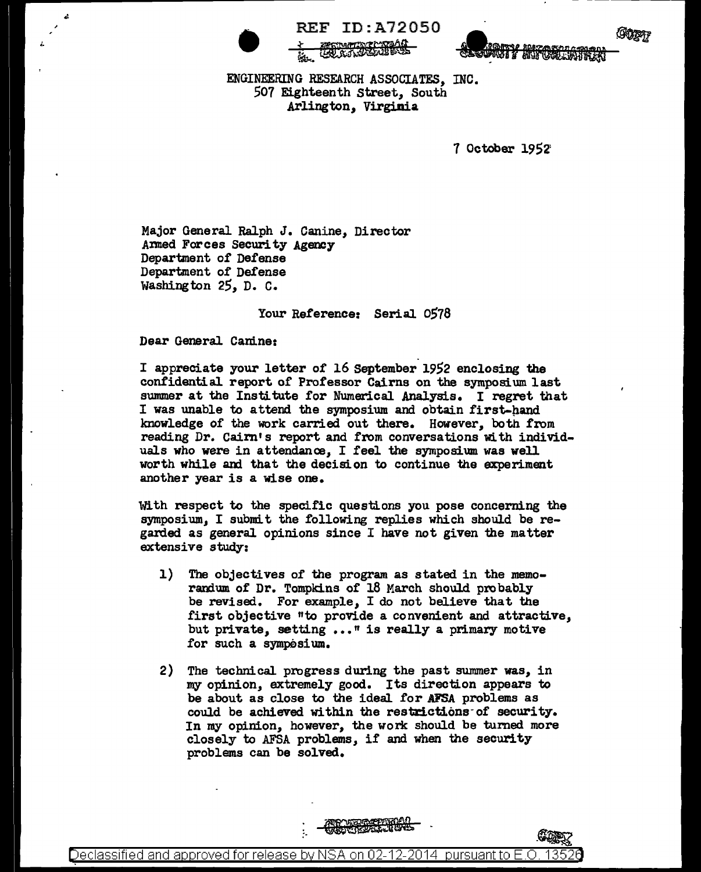

REF ID:A72050<br>
<del>4 ENGINEERING</del><br>
ENGINEERING RESEARCH ASSOCIATES, INC. ~-~~~



507 Eighteenth Street, South .Arlington, Virginia

7 October 1952'

Major General Ralph J. Canine, Director Armed Forces Security Agency Department of Defense Department of Defense Washington 25, D. c.

Your Reference: Serial 0578

## Dear General Canine:

I appreciate your letter of 16 September 1952 enclosing the confidential report of Professor Cairns on the symposium last summer at the Institute for Numerical Analysis. I regret that I was unable to attend the symposium and obtain first-hand knowledge of the work carried out there. However, both from reading Dr. Cairn's report and from conversations with individuals who were in attendance, I feel the symposium was well worth while and that the decision to continue the experiment another year is a wise one.

With respect to the specific questions you pose concerning the symposium, I submit the following replies which should be regarded as general opinions since I have not given the matter extensive study:

- 1) The objectives of the program as stated in the memorandum of Dr. Tompkins of 18 March should probably be revised. For example, I do not believe that the first objective "to provide a convenient and attractive. but private, setting ..." is really a primary motive for such a symposium.
- 2) The technical. progress during the past summer was, in my opinion, extremely good. Its direction appears to be about as close to the ideal for AFSA problems as could be achieved within the restrictions of security. In my opinion, however, the work should be turned more closely to AFSA problems, if and when the security problems can be solved.

Declassified and approved for release by NSA on 02-12-2014  $\,$  pursuant to E.O.  $\,$